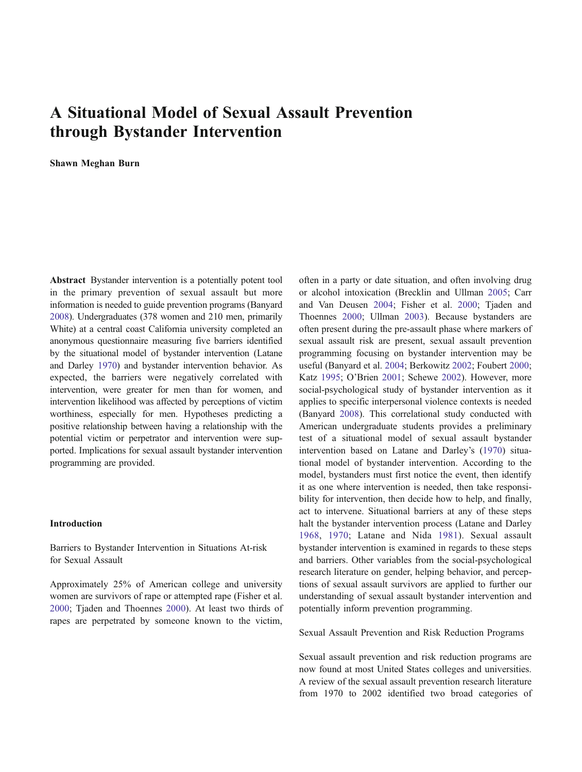# A Situational Model of Sexual Assault Prevention through Bystander Intervention

Shawn Meghan Burn

Abstract Bystander intervention is a potentially potent tool in the primary prevention of sexual assault but more information is needed to guide prevention programs (Banyard 2008). Undergraduates (378 women and 210 men, primarily White) at a central coast California university completed an anonymous questionnaire measuring five barriers identified by the situational model of bystander intervention (Latane and Darley 1970) and bystander intervention behavior. As expected, the barriers were negatively correlated with intervention, were greater for men than for women, and intervention likelihood was affected by perceptions of victim worthiness, especially for men. Hypotheses predicting a positive relationship between having a relationship with the potential victim or perpetrator and intervention were supported. Implications for sexual assault bystander intervention programming are provided.

## Introduction

Barriers to Bystander Intervention in Situations At-risk for Sexual Assault

Approximately 25% of American college and university women are survivors of rape or attempted rape (Fisher et al. 2000; Tjaden and Thoennes 2000). At least two thirds of rapes are perpetrated by someone known to the victim,

often in a party or date situation, and often involving drug or alcohol intoxication (Brecklin and Ullman 2005; Carr and Van Deusen 2004; Fisher et al. 2000; Tjaden and Thoennes 2000; Ullman 2003). Because bystanders are often present during the pre-assault phase where markers of sexual assault risk are present, sexual assault prevention programming focusing on bystander intervention may be useful (Banyard et al. 2004; Berkowitz 2002; Foubert 2000; Katz 1995; O'Brien 2001; Schewe 2002). However, more social-psychological study of bystander intervention as it applies to specific interpersonal violence contexts is needed (Banyard 2008). This correlational study conducted with American undergraduate students provides a preliminary test of a situational model of sexual assault bystander intervention based on Latane and Darley's (1970) situational model of bystander intervention. According to the model, bystanders must first notice the event, then identify it as one where intervention is needed, then take responsibility for intervention, then decide how to help, and finally, act to intervene. Situational barriers at any of these steps halt the bystander intervention process (Latane and Darley 1968, 1970; Latane and Nida 1981). Sexual assault bystander intervention is examined in regards to these steps and barriers. Other variables from the social-psychological research literature on gender, helping behavior, and perceptions of sexual assault survivors are applied to further our understanding of sexual assault bystander intervention and potentially inform prevention programming.

Sexual Assault Prevention and Risk Reduction Programs

Sexual assault prevention and risk reduction programs are now found at most United States colleges and universities. A review of the sexual assault prevention research literature from 1970 to 2002 identified two broad categories of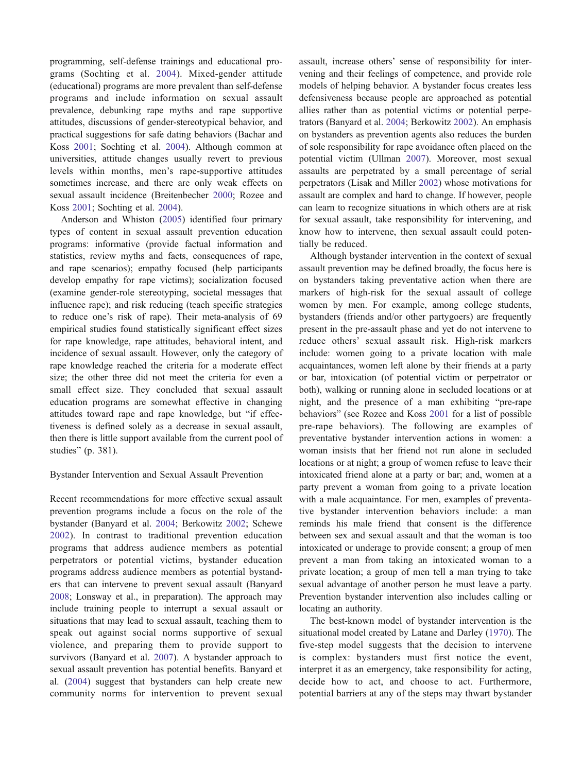programming, self-defense trainings and educational programs (Sochting et al. 2004). Mixed-gender attitude (educational) programs are more prevalent than self-defense programs and include information on sexual assault prevalence, debunking rape myths and rape supportive attitudes, discussions of gender-stereotypical behavior, and practical suggestions for safe dating behaviors (Bachar and Koss 2001; Sochting et al. 2004). Although common at universities, attitude changes usually revert to previous levels within months, men's rape-supportive attitudes sometimes increase, and there are only weak effects on sexual assault incidence (Breitenbecher 2000; Rozee and Koss 2001; Sochting et al. 2004).

Anderson and Whiston (2005) identified four primary types of content in sexual assault prevention education programs: informative (provide factual information and statistics, review myths and facts, consequences of rape, and rape scenarios); empathy focused (help participants develop empathy for rape victims); socialization focused (examine gender-role stereotyping, societal messages that influence rape); and risk reducing (teach specific strategies to reduce one's risk of rape). Their meta-analysis of 69 empirical studies found statistically significant effect sizes for rape knowledge, rape attitudes, behavioral intent, and incidence of sexual assault. However, only the category of rape knowledge reached the criteria for a moderate effect size; the other three did not meet the criteria for even a small effect size. They concluded that sexual assault education programs are somewhat effective in changing attitudes toward rape and rape knowledge, but "if effectiveness is defined solely as a decrease in sexual assault, then there is little support available from the current pool of studies" (p. 381).

#### Bystander Intervention and Sexual Assault Prevention

Recent recommendations for more effective sexual assault prevention programs include a focus on the role of the bystander (Banyard et al. 2004; Berkowitz 2002; Schewe 2002). In contrast to traditional prevention education programs that address audience members as potential perpetrators or potential victims, bystander education programs address audience members as potential bystanders that can intervene to prevent sexual assault (Banyard 2008; Lonsway et al., in preparation). The approach may include training people to interrupt a sexual assault or situations that may lead to sexual assault, teaching them to speak out against social norms supportive of sexual violence, and preparing them to provide support to survivors (Banyard et al. 2007). A bystander approach to sexual assault prevention has potential benefits. Banyard et al. (2004) suggest that bystanders can help create new community norms for intervention to prevent sexual assault, increase others' sense of responsibility for intervening and their feelings of competence, and provide role models of helping behavior. A bystander focus creates less defensiveness because people are approached as potential allies rather than as potential victims or potential perpetrators (Banyard et al. 2004; Berkowitz 2002). An emphasis on bystanders as prevention agents also reduces the burden of sole responsibility for rape avoidance often placed on the potential victim (Ullman 2007). Moreover, most sexual assaults are perpetrated by a small percentage of serial perpetrators (Lisak and Miller 2002) whose motivations for assault are complex and hard to change. If however, people can learn to recognize situations in which others are at risk for sexual assault, take responsibility for intervening, and know how to intervene, then sexual assault could potentially be reduced.

Although bystander intervention in the context of sexual assault prevention may be defined broadly, the focus here is on bystanders taking preventative action when there are markers of high-risk for the sexual assault of college women by men. For example, among college students, bystanders (friends and/or other partygoers) are frequently present in the pre-assault phase and yet do not intervene to reduce others' sexual assault risk. High-risk markers include: women going to a private location with male acquaintances, women left alone by their friends at a party or bar, intoxication (of potential victim or perpetrator or both), walking or running alone in secluded locations or at night, and the presence of a man exhibiting "pre-rape behaviors" (see Rozee and Koss 2001 for a list of possible pre-rape behaviors). The following are examples of preventative bystander intervention actions in women: a woman insists that her friend not run alone in secluded locations or at night; a group of women refuse to leave their intoxicated friend alone at a party or bar; and, women at a party prevent a woman from going to a private location with a male acquaintance. For men, examples of preventative bystander intervention behaviors include: a man reminds his male friend that consent is the difference between sex and sexual assault and that the woman is too intoxicated or underage to provide consent; a group of men prevent a man from taking an intoxicated woman to a private location; a group of men tell a man trying to take sexual advantage of another person he must leave a party. Prevention bystander intervention also includes calling or locating an authority.

The best-known model of bystander intervention is the situational model created by Latane and Darley (1970). The five-step model suggests that the decision to intervene is complex: bystanders must first notice the event, interpret it as an emergency, take responsibility for acting, decide how to act, and choose to act. Furthermore, potential barriers at any of the steps may thwart bystander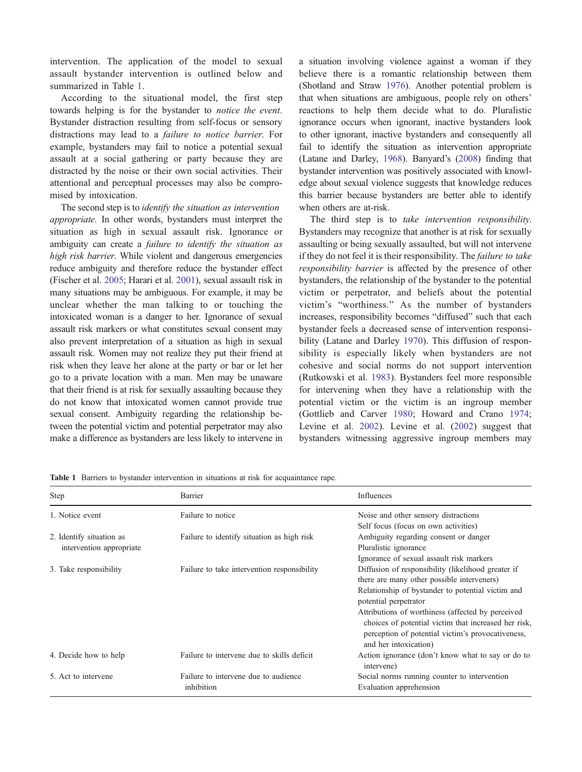intervention. The application of the model to sexual assault bystander intervention is outlined below and summarized in Table 1.

According to the situational model, the first step towards helping is for the bystander to notice the event. Bystander distraction resulting from self-focus or sensory distractions may lead to a failure to notice barrier. For example, bystanders may fail to notice a potential sexual assault at a social gathering or party because they are distracted by the noise or their own social activities. Their attentional and perceptual processes may also be compromised by intoxication.

The second step is to identify the situation as intervention appropriate. In other words, bystanders must interpret the situation as high in sexual assault risk. Ignorance or ambiguity can create a failure to identify the situation as high risk barrier. While violent and dangerous emergencies reduce ambiguity and therefore reduce the bystander effect (Fischer et al. 2005; Harari et al. 2001), sexual assault risk in many situations may be ambiguous. For example, it may be unclear whether the man talking to or touching the intoxicated woman is a danger to her. Ignorance of sexual assault risk markers or what constitutes sexual consent may also prevent interpretation of a situation as high in sexual assault risk. Women may not realize they put their friend at risk when they leave her alone at the party or bar or let her go to a private location with a man. Men may be unaware that their friend is at risk for sexually assaulting because they do not know that intoxicated women cannot provide true sexual consent. Ambiguity regarding the relationship between the potential victim and potential perpetrator may also make a difference as bystanders are less likely to intervene in

a situation involving violence against a woman if they believe there is a romantic relationship between them (Shotland and Straw 1976). Another potential problem is that when situations are ambiguous, people rely on others' reactions to help them decide what to do. Pluralistic ignorance occurs when ignorant, inactive bystanders look to other ignorant, inactive bystanders and consequently all fail to identify the situation as intervention appropriate (Latane and Darley, 1968). Banyard's (2008) finding that bystander intervention was positively associated with knowledge about sexual violence suggests that knowledge reduces this barrier because bystanders are better able to identify when others are at-risk.

The third step is to take intervention responsibility. Bystanders may recognize that another is at risk for sexually assaulting or being sexually assaulted, but will not intervene if they do not feel it is their responsibility. The failure to take responsibility barrier is affected by the presence of other bystanders, the relationship of the bystander to the potential victim or perpetrator, and beliefs about the potential victim's "worthiness." As the number of bystanders increases, responsibility becomes "diffused" such that each bystander feels a decreased sense of intervention responsibility (Latane and Darley 1970). This diffusion of responsibility is especially likely when bystanders are not cohesive and social norms do not support intervention (Rutkowski et al. 1983). Bystanders feel more responsible for intervening when they have a relationship with the potential victim or the victim is an ingroup member (Gottlieb and Carver 1980; Howard and Crano 1974; Levine et al. 2002). Levine et al. (2002) suggest that bystanders witnessing aggressive ingroup members may

Table 1 Barriers to bystander intervention in situations at risk for acquaintance rape.

| Step                     | Barrier                                     | Influences                                                                                                                                                     |
|--------------------------|---------------------------------------------|----------------------------------------------------------------------------------------------------------------------------------------------------------------|
| 1. Notice event          | Failure to notice                           | Noise and other sensory distractions                                                                                                                           |
|                          |                                             | Self focus (focus on own activities)                                                                                                                           |
| 2. Identify situation as | Failure to identify situation as high risk  | Ambiguity regarding consent or danger                                                                                                                          |
| intervention appropriate |                                             | Pluralistic ignorance                                                                                                                                          |
|                          |                                             | Ignorance of sexual assault risk markers                                                                                                                       |
| 3. Take responsibility   | Failure to take intervention responsibility | Diffusion of responsibility (likelihood greater if                                                                                                             |
|                          |                                             | there are many other possible interveners)                                                                                                                     |
|                          |                                             | Relationship of bystander to potential victim and                                                                                                              |
|                          |                                             | potential perpetrator                                                                                                                                          |
|                          |                                             | Attributions of worthiness (affected by perceived<br>choices of potential victim that increased her risk,<br>perception of potential victim's provocativeness, |
|                          |                                             | and her intoxication)                                                                                                                                          |
| 4. Decide how to help    | Failure to intervene due to skills deficit  | Action ignorance (don't know what to say or do to<br>intervene)                                                                                                |
| 5. Act to intervene      | Failure to intervene due to audience        | Social norms running counter to intervention                                                                                                                   |
|                          | inhibition                                  | Evaluation apprehension                                                                                                                                        |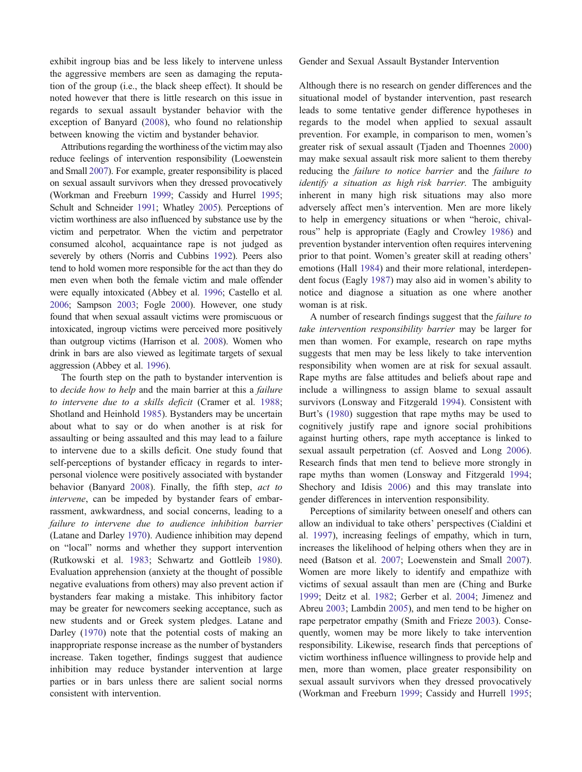exhibit ingroup bias and be less likely to intervene unless the aggressive members are seen as damaging the reputation of the group (i.e., the black sheep effect). It should be noted however that there is little research on this issue in regards to sexual assault bystander behavior with the exception of Banyard (2008), who found no relationship between knowing the victim and bystander behavior.

Attributions regarding the worthiness of the victim may also reduce feelings of intervention responsibility (Loewenstein and Small 2007). For example, greater responsibility is placed on sexual assault survivors when they dressed provocatively (Workman and Freeburn 1999; Cassidy and Hurrel 1995; Schult and Schneider 1991; Whatley 2005). Perceptions of victim worthiness are also influenced by substance use by the victim and perpetrator. When the victim and perpetrator consumed alcohol, acquaintance rape is not judged as severely by others (Norris and Cubbins 1992). Peers also tend to hold women more responsible for the act than they do men even when both the female victim and male offender were equally intoxicated (Abbey et al. 1996; Castello et al. 2006; Sampson 2003; Fogle 2000). However, one study found that when sexual assault victims were promiscuous or intoxicated, ingroup victims were perceived more positively than outgroup victims (Harrison et al. 2008). Women who drink in bars are also viewed as legitimate targets of sexual aggression (Abbey et al. 1996).

The fourth step on the path to bystander intervention is to decide how to help and the main barrier at this a failure to intervene due to a skills deficit (Cramer et al. 1988; Shotland and Heinhold 1985). Bystanders may be uncertain about what to say or do when another is at risk for assaulting or being assaulted and this may lead to a failure to intervene due to a skills deficit. One study found that self-perceptions of bystander efficacy in regards to interpersonal violence were positively associated with bystander behavior (Banyard 2008). Finally, the fifth step, act to intervene, can be impeded by bystander fears of embarrassment, awkwardness, and social concerns, leading to a failure to intervene due to audience inhibition barrier (Latane and Darley 1970). Audience inhibition may depend on "local" norms and whether they support intervention (Rutkowski et al. 1983; Schwartz and Gottleib 1980). Evaluation apprehension (anxiety at the thought of possible negative evaluations from others) may also prevent action if bystanders fear making a mistake. This inhibitory factor may be greater for newcomers seeking acceptance, such as new students and or Greek system pledges. Latane and Darley (1970) note that the potential costs of making an inappropriate response increase as the number of bystanders increase. Taken together, findings suggest that audience inhibition may reduce bystander intervention at large parties or in bars unless there are salient social norms consistent with intervention.

Gender and Sexual Assault Bystander Intervention

Although there is no research on gender differences and the situational model of bystander intervention, past research leads to some tentative gender difference hypotheses in regards to the model when applied to sexual assault prevention. For example, in comparison to men, women's greater risk of sexual assault (Tjaden and Thoennes 2000) may make sexual assault risk more salient to them thereby reducing the failure to notice barrier and the failure to identify a situation as high risk barrier. The ambiguity inherent in many high risk situations may also more adversely affect men's intervention. Men are more likely to help in emergency situations or when "heroic, chivalrous" help is appropriate (Eagly and Crowley 1986) and prevention bystander intervention often requires intervening prior to that point. Women's greater skill at reading others' emotions (Hall 1984) and their more relational, interdependent focus (Eagly 1987) may also aid in women's ability to notice and diagnose a situation as one where another woman is at risk.

A number of research findings suggest that the failure to take intervention responsibility barrier may be larger for men than women. For example, research on rape myths suggests that men may be less likely to take intervention responsibility when women are at risk for sexual assault. Rape myths are false attitudes and beliefs about rape and include a willingness to assign blame to sexual assault survivors (Lonsway and Fitzgerald 1994). Consistent with Burt's (1980) suggestion that rape myths may be used to cognitively justify rape and ignore social prohibitions against hurting others, rape myth acceptance is linked to sexual assault perpetration (cf. Aosved and Long 2006). Research finds that men tend to believe more strongly in rape myths than women (Lonsway and Fitzgerald 1994; Shechory and Idisis 2006) and this may translate into gender differences in intervention responsibility.

Perceptions of similarity between oneself and others can allow an individual to take others' perspectives (Cialdini et al. 1997), increasing feelings of empathy, which in turn, increases the likelihood of helping others when they are in need (Batson et al. 2007; Loewenstein and Small 2007). Women are more likely to identify and empathize with victims of sexual assault than men are (Ching and Burke 1999; Deitz et al. 1982; Gerber et al. 2004; Jimenez and Abreu 2003; Lambdin 2005), and men tend to be higher on rape perpetrator empathy (Smith and Frieze 2003). Consequently, women may be more likely to take intervention responsibility. Likewise, research finds that perceptions of victim worthiness influence willingness to provide help and men, more than women, place greater responsibility on sexual assault survivors when they dressed provocatively (Workman and Freeburn 1999; Cassidy and Hurrell 1995;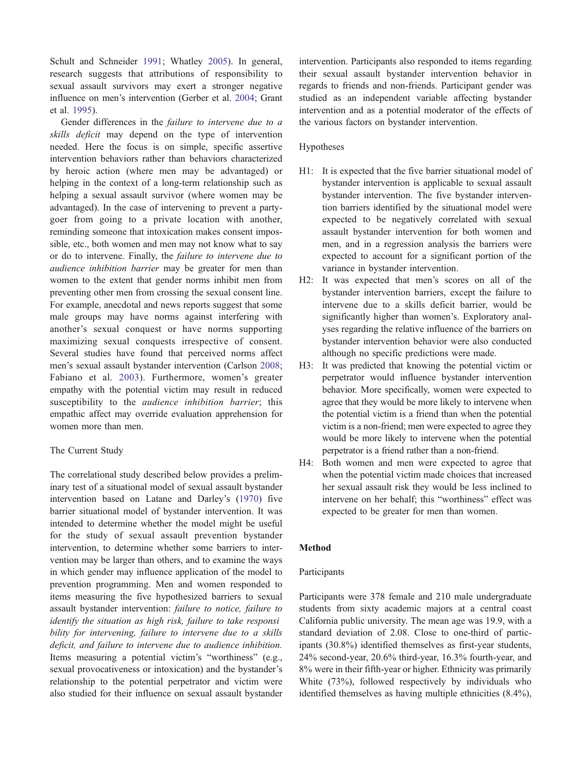Schult and Schneider 1991; Whatley 2005). In general, research suggests that attributions of responsibility to sexual assault survivors may exert a stronger negative influence on men's intervention (Gerber et al. 2004; Grant et al. 1995).

Gender differences in the failure to intervene due to a skills deficit may depend on the type of intervention needed. Here the focus is on simple, specific assertive intervention behaviors rather than behaviors characterized by heroic action (where men may be advantaged) or helping in the context of a long-term relationship such as helping a sexual assault survivor (where women may be advantaged). In the case of intervening to prevent a partygoer from going to a private location with another, reminding someone that intoxication makes consent impossible, etc., both women and men may not know what to say or do to intervene. Finally, the failure to intervene due to audience inhibition barrier may be greater for men than women to the extent that gender norms inhibit men from preventing other men from crossing the sexual consent line. For example, anecdotal and news reports suggest that some male groups may have norms against interfering with another's sexual conquest or have norms supporting maximizing sexual conquests irrespective of consent. Several studies have found that perceived norms affect men's sexual assault bystander intervention (Carlson 2008; Fabiano et al. 2003). Furthermore, women's greater empathy with the potential victim may result in reduced susceptibility to the *audience inhibition barrier*; this empathic affect may override evaluation apprehension for women more than men.

# The Current Study

The correlational study described below provides a preliminary test of a situational model of sexual assault bystander intervention based on Latane and Darley's (1970) five barrier situational model of bystander intervention. It was intended to determine whether the model might be useful for the study of sexual assault prevention bystander intervention, to determine whether some barriers to intervention may be larger than others, and to examine the ways in which gender may influence application of the model to prevention programming. Men and women responded to items measuring the five hypothesized barriers to sexual assault bystander intervention: failure to notice, failure to identify the situation as high risk, failure to take responsi bility for intervening, failure to intervene due to a skills deficit, and failure to intervene due to audience inhibition. Items measuring a potential victim's "worthiness" (e.g., sexual provocativeness or intoxication) and the bystander's relationship to the potential perpetrator and victim were also studied for their influence on sexual assault bystander intervention. Participants also responded to items regarding their sexual assault bystander intervention behavior in regards to friends and non-friends. Participant gender was studied as an independent variable affecting bystander intervention and as a potential moderator of the effects of the various factors on bystander intervention.

# Hypotheses

- H1: It is expected that the five barrier situational model of bystander intervention is applicable to sexual assault bystander intervention. The five bystander intervention barriers identified by the situational model were expected to be negatively correlated with sexual assault bystander intervention for both women and men, and in a regression analysis the barriers were expected to account for a significant portion of the variance in bystander intervention.
- H2: It was expected that men's scores on all of the bystander intervention barriers, except the failure to intervene due to a skills deficit barrier, would be significantly higher than women's. Exploratory analyses regarding the relative influence of the barriers on bystander intervention behavior were also conducted although no specific predictions were made.
- H3: It was predicted that knowing the potential victim or perpetrator would influence bystander intervention behavior. More specifically, women were expected to agree that they would be more likely to intervene when the potential victim is a friend than when the potential victim is a non-friend; men were expected to agree they would be more likely to intervene when the potential perpetrator is a friend rather than a non-friend.
- H4: Both women and men were expected to agree that when the potential victim made choices that increased her sexual assault risk they would be less inclined to intervene on her behalf; this "worthiness" effect was expected to be greater for men than women.

#### Method

### Participants

Participants were 378 female and 210 male undergraduate students from sixty academic majors at a central coast California public university. The mean age was 19.9, with a standard deviation of 2.08. Close to one-third of participants (30.8%) identified themselves as first-year students, 24% second-year, 20.6% third-year, 16.3% fourth-year, and 8% were in their fifth-year or higher. Ethnicity was primarily White (73%), followed respectively by individuals who identified themselves as having multiple ethnicities (8.4%),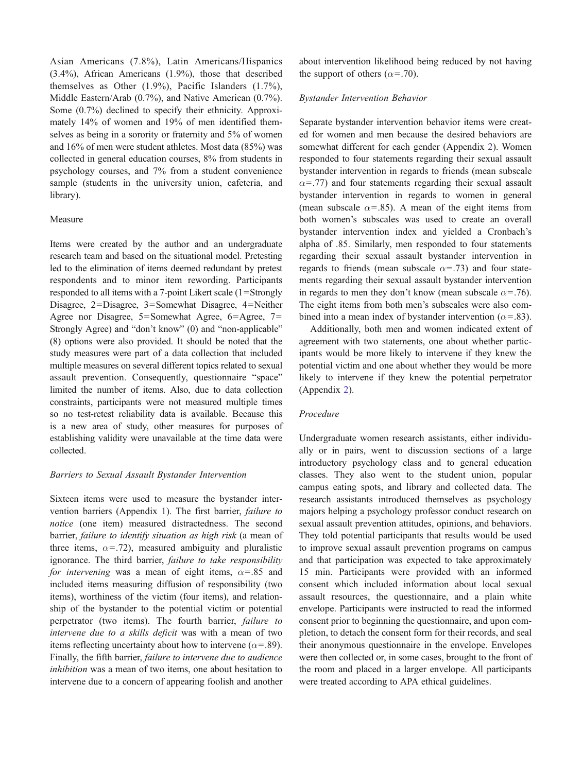Asian Americans (7.8%), Latin Americans/Hispanics (3.4%), African Americans (1.9%), those that described themselves as Other (1.9%), Pacific Islanders (1.7%), Middle Eastern/Arab (0.7%), and Native American (0.7%). Some (0.7%) declined to specify their ethnicity. Approximately 14% of women and 19% of men identified themselves as being in a sorority or fraternity and 5% of women and 16% of men were student athletes. Most data (85%) was collected in general education courses, 8% from students in psychology courses, and 7% from a student convenience sample (students in the university union, cafeteria, and library).

# Measure

Items were created by the author and an undergraduate research team and based on the situational model. Pretesting led to the elimination of items deemed redundant by pretest respondents and to minor item rewording. Participants responded to all items with a 7-point Likert scale (1=Strongly Disagree, 2=Disagree, 3=Somewhat Disagree, 4=Neither Agree nor Disagree, 5=Somewhat Agree, 6=Agree, 7= Strongly Agree) and "don't know" (0) and "non-applicable" (8) options were also provided. It should be noted that the study measures were part of a data collection that included multiple measures on several different topics related to sexual assault prevention. Consequently, questionnaire "space" limited the number of items. Also, due to data collection constraints, participants were not measured multiple times so no test-retest reliability data is available. Because this is a new area of study, other measures for purposes of establishing validity were unavailable at the time data were collected.

## Barriers to Sexual Assault Bystander Intervention

Sixteen items were used to measure the bystander intervention barriers (Appendix 1). The first barrier, failure to notice (one item) measured distractedness. The second barrier, failure to identify situation as high risk (a mean of three items,  $\alpha = .72$ ), measured ambiguity and pluralistic ignorance. The third barrier, failure to take responsibility for intervening was a mean of eight items,  $\alpha = .85$  and included items measuring diffusion of responsibility (two items), worthiness of the victim (four items), and relationship of the bystander to the potential victim or potential perpetrator (two items). The fourth barrier, failure to intervene due to a skills deficit was with a mean of two items reflecting uncertainty about how to intervene ( $\alpha$ =.89). Finally, the fifth barrier, failure to intervene due to audience inhibition was a mean of two items, one about hesitation to intervene due to a concern of appearing foolish and another

about intervention likelihood being reduced by not having the support of others ( $\alpha$ =.70).

# Bystander Intervention Behavior

Separate bystander intervention behavior items were created for women and men because the desired behaviors are somewhat different for each gender (Appendix 2). Women responded to four statements regarding their sexual assault bystander intervention in regards to friends (mean subscale  $\alpha$ =.77) and four statements regarding their sexual assault bystander intervention in regards to women in general (mean subscale  $\alpha$ =.85). A mean of the eight items from both women's subscales was used to create an overall bystander intervention index and yielded a Cronbach's alpha of .85. Similarly, men responded to four statements regarding their sexual assault bystander intervention in regards to friends (mean subscale  $\alpha$ =.73) and four statements regarding their sexual assault bystander intervention in regards to men they don't know (mean subscale  $\alpha$ =.76). The eight items from both men's subscales were also combined into a mean index of bystander intervention ( $\alpha$ =.83).

Additionally, both men and women indicated extent of agreement with two statements, one about whether participants would be more likely to intervene if they knew the potential victim and one about whether they would be more likely to intervene if they knew the potential perpetrator (Appendix 2).

# Procedure

Undergraduate women research assistants, either individually or in pairs, went to discussion sections of a large introductory psychology class and to general education classes. They also went to the student union, popular campus eating spots, and library and collected data. The research assistants introduced themselves as psychology majors helping a psychology professor conduct research on sexual assault prevention attitudes, opinions, and behaviors. They told potential participants that results would be used to improve sexual assault prevention programs on campus and that participation was expected to take approximately 15 min. Participants were provided with an informed consent which included information about local sexual assault resources, the questionnaire, and a plain white envelope. Participants were instructed to read the informed consent prior to beginning the questionnaire, and upon completion, to detach the consent form for their records, and seal their anonymous questionnaire in the envelope. Envelopes were then collected or, in some cases, brought to the front of the room and placed in a larger envelope. All participants were treated according to APA ethical guidelines.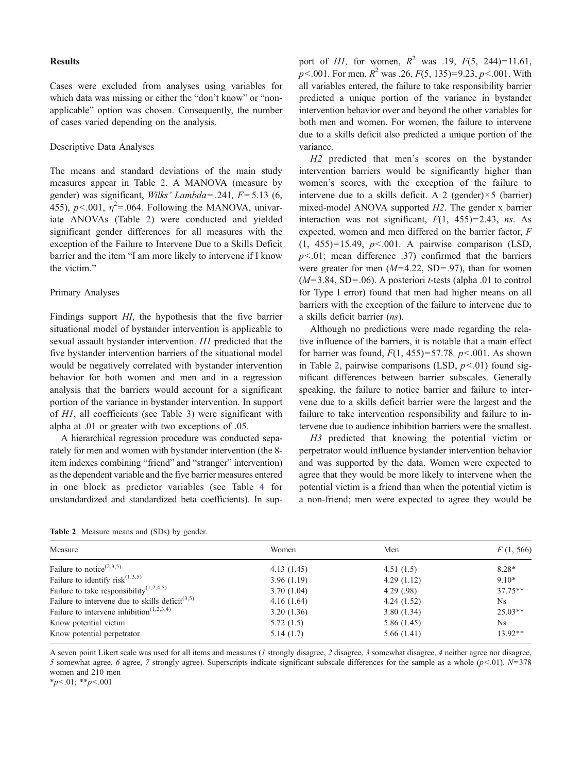#### Results

Cases were excluded from analyses using variables for which data was missing or either the "don't know" or "nonapplicable" option was chosen. Consequently, the number of cases varied depending on the analysis.

# Descriptive Data Analyses

The means and standard deviations of the main study measures appear in Table 2. A MANOVA (measure by gender) was significant, Wilks' Lambda=.241,  $F=5.13$  (6, 455),  $p<.001$ ,  $\eta^2$ =.064. Following the MANOVA, univariate ANOVAs (Table 2) were conducted and yielded significant gender differences for all measures with the exception of the Failure to Intervene Due to a Skills Deficit barrier and the item "I am more likely to intervene if I know the victim."

# Primary Analyses

Findings support HI, the hypothesis that the five barrier situational model of bystander intervention is applicable to sexual assault bystander intervention. H1 predicted that the five bystander intervention barriers of the situational model would be negatively correlated with bystander intervention behavior for both women and men and in a regression analysis that the barriers would account for a significant portion of the variance in bystander intervention. In support of H1, all coefficients (see Table 3) were significant with alpha at .01 or greater with two exceptions of .05.

A hierarchical regression procedure was conducted separately for men and women with bystander intervention (the 8 item indexes combining "friend" and "stranger" intervention) as the dependent variable and the five barrier measures entered in one block as predictor variables (see Table 4 for unstandardized and standardized beta coefficients). In support of *H1*, for women,  $R^2$  was .19,  $F(5, 244)=11.61$ ,  $p<.001$ . For men,  $R^2$  was .26,  $F(5, 135)=9.23$ ,  $p<.001$ . With all variables entered, the failure to take responsibility barrier predicted a unique portion of the variance in bystander intervention behavior over and beyond the other variables for both men and women. For women, the failure to intervene due to a skills deficit also predicted a unique portion of the variance.

H2 predicted that men's scores on the bystander intervention barriers would be significantly higher than women's scores, with the exception of the failure to intervene due to a skills deficit. A 2 (gender) $\times$ 5 (barrier) mixed-model ANOVA supported H2. The gender x barrier interaction was not significant,  $F(1, 455)=2.43$ , ns. As expected, women and men differed on the barrier factor, F (1, 455)=15.49, p<.001. A pairwise comparison (LSD,  $p<0.01$ ; mean difference .37) confirmed that the barriers were greater for men  $(M=4.22, SD=.97)$ , than for women  $(M=3.84, SD=.06)$ . A posteriori *t*-tests (alpha .01 to control for Type I error) found that men had higher means on all barriers with the exception of the failure to intervene due to a skills deficit barrier (ns).

Although no predictions were made regarding the relative influence of the barriers, it is notable that a main effect for barrier was found,  $F(1, 455)=57.78$ ,  $p<.001$ . As shown in Table 2, pairwise comparisons (LSD,  $p<01$ ) found significant differences between barrier subscales. Generally speaking, the failure to notice barrier and failure to intervene due to a skills deficit barrier were the largest and the failure to take intervention responsibility and failure to intervene due to audience inhibition barriers were the smallest.

H3 predicted that knowing the potential victim or perpetrator would influence bystander intervention behavior and was supported by the data. Women were expected to agree that they would be more likely to intervene when the potential victim is a friend than when the potential victim is a non-friend; men were expected to agree they would be

|  | Table 2 Measure means and (SDs) by gender. |  |  |  |  |  |
|--|--------------------------------------------|--|--|--|--|--|
|--|--------------------------------------------|--|--|--|--|--|

| Women      | Men        | F(1, 566) |
|------------|------------|-----------|
| 4.13(1.45) | 4.51(1.5)  | 8.28*     |
| 3.96(1.19) | 4.29(1.12) | $9.10*$   |
| 3.70(1.04) | 4.29(0.98) | $37.75**$ |
| 4.16(1.64) | 4.24(1.52) | Ns.       |
| 3.20(1.36) | 3.80(1.34) | $25.03**$ |
| 5.72(1.5)  | 5.86(1.45) | Ns.       |
| 5.14(1.7)  | 5.66(1.41) | $13.92**$ |
|            |            |           |

A seven point Likert scale was used for all items and measures (1 strongly disagree, 2 disagree, 3 somewhat disagree, 4 neither agree nor disagree, 5 somewhat agree, 6 agree, 7 strongly agree). Superscripts indicate significant subscale differences for the sample as a whole  $(p<.01)$ .  $N=378$ women and 210 men

 $*_{p<.01;}$   $*_{p<.001}$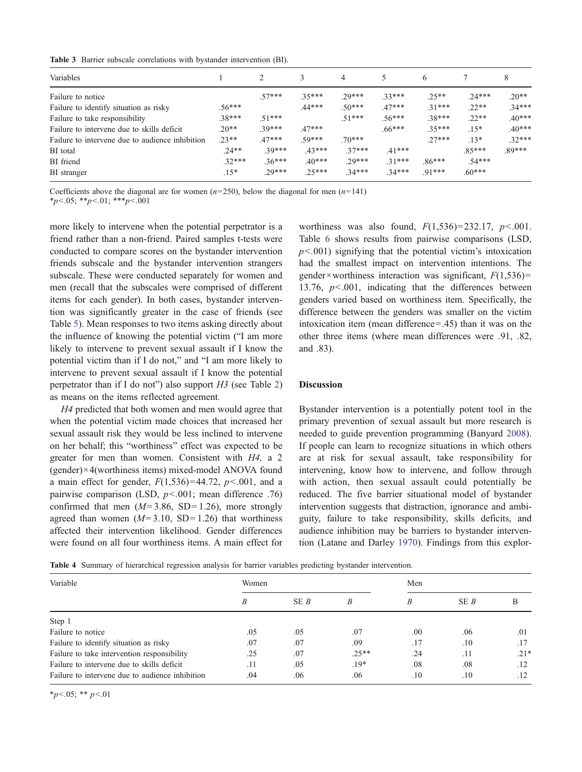Table 3 Barrier subscale correlations with bystander intervention (BI).

| Variables                                       |          |          | 3        | 4        |          | 6        |          | 8        |
|-------------------------------------------------|----------|----------|----------|----------|----------|----------|----------|----------|
| Failure to notice                               |          | $.57***$ | $.35***$ | $.29***$ | $.33***$ | $.25**$  | $.24***$ | $.20**$  |
| Failure to identify situation as risky          | $.56***$ |          | $.44***$ | $.50***$ | $.47***$ | $.31***$ | $.22**$  | $.34***$ |
| Failure to take responsibility                  | $.38***$ | $.51***$ |          | $.51***$ | $.56***$ | $.38***$ | $.22**$  | $.40***$ |
| Failure to intervene due to skills deficit      | $.20**$  | $.39***$ | $.47***$ |          | $.66***$ | $.35***$ | $.15*$   | $40***$  |
| Failure to intervene due to audience inhibition | $.23**$  | $.47***$ | $.59***$ | $.70***$ |          | $27***$  | $.13*$   | $32***$  |
| BI total                                        | $.24**$  | $39***$  | $.43***$ | $.37***$ | $.41***$ |          | $.85***$ | $89***$  |
| BI friend                                       | $.32***$ | $.36***$ | $.40***$ | $.29***$ | $.31***$ | $.86***$ | $.54***$ |          |
| BI stranger                                     | $.15*$   | $29***$  | $.25***$ | $.34***$ | $.34***$ | $.91***$ | $.60***$ |          |

Coefficients above the diagonal are for women ( $n=250$ ), below the diagonal for men ( $n=141$ )

 $*_{p<.05}$ ;  $*_{p<.01}$ ;  $*_{p<.001}$ 

more likely to intervene when the potential perpetrator is a friend rather than a non-friend. Paired samples t-tests were conducted to compare scores on the bystander intervention friends subscale and the bystander intervention strangers subscale. These were conducted separately for women and men (recall that the subscales were comprised of different items for each gender). In both cases, bystander intervention was significantly greater in the case of friends (see Table 5). Mean responses to two items asking directly about the influence of knowing the potential victim ("I am more likely to intervene to prevent sexual assault if I know the potential victim than if I do not," and "I am more likely to intervene to prevent sexual assault if I know the potential perpetrator than if I do not") also support  $H3$  (see Table 2) as means on the items reflected agreement.

H4 predicted that both women and men would agree that when the potential victim made choices that increased her sexual assault risk they would be less inclined to intervene on her behalf; this "worthiness" effect was expected to be greater for men than women. Consistent with H4, a 2 (gender)×4(worthiness items) mixed-model ANOVA found a main effect for gender,  $F(1,536)=44.72$ ,  $p<.001$ , and a pairwise comparison (LSD,  $p<.001$ ; mean difference .76) confirmed that men  $(M=3.86, SD=1.26)$ , more strongly agreed than women  $(M=3.10, SD=1.26)$  that worthiness affected their intervention likelihood. Gender differences were found on all four worthiness items. A main effect for worthiness was also found,  $F(1,536)=232.17, p<.001$ . Table 6 shows results from pairwise comparisons (LSD,  $p$ <.001) signifying that the potential victim's intoxication had the smallest impact on intervention intentions. The gender×worthiness interaction was significant,  $F(1,536)$ = 13.76,  $p<0.001$ , indicating that the differences between genders varied based on worthiness item. Specifically, the difference between the genders was smaller on the victim intoxication item (mean difference=.45) than it was on the other three items (where mean differences were .91, .82, and .83).

# Discussion

Bystander intervention is a potentially potent tool in the primary prevention of sexual assault but more research is needed to guide prevention programming (Banyard 2008). If people can learn to recognize situations in which others are at risk for sexual assault, take responsibility for intervening, know how to intervene, and follow through with action, then sexual assault could potentially be reduced. The five barrier situational model of bystander intervention suggests that distraction, ignorance and ambiguity, failure to take responsibility, skills deficits, and audience inhibition may be barriers to bystander intervention (Latane and Darley 1970). Findings from this explor-

Table 4 Summary of hierarchical regression analysis for barrier variables predicting bystander intervention.

| Variable                                        | Women |      |         | Men |      |        |  |
|-------------------------------------------------|-------|------|---------|-----|------|--------|--|
|                                                 | Β     | SE B | B       | B   | SE B | В      |  |
| Step 1                                          |       |      |         |     |      |        |  |
| Failure to notice                               | .05   | .05  | .07     | .00 | .06  | .01    |  |
| Failure to identify situation as risky          | .07   | .07  | .09     | .17 | .10  | .17    |  |
| Failure to take intervention responsibility     | .25   | .07  | $.25**$ | .24 | .11  | $.21*$ |  |
| Failure to intervene due to skills deficit      | .11   | .05  | $.19*$  | .08 | .08  | .12    |  |
| Failure to intervene due to audience inhibition | .04   | .06  | .06     | .10 | .10  | .12    |  |

 $*_{p<.05}$ ; \*\*  $p<.01$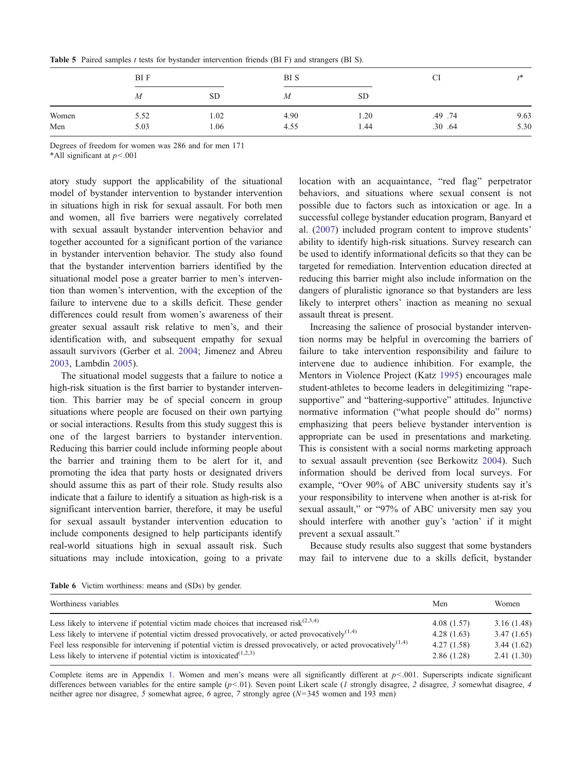Table 5 Paired samples  $t$  tests for bystander intervention friends (BI F) and strangers (BI S).

|       | BI F |           |                |      | CI      |      |
|-------|------|-----------|----------------|------|---------|------|
|       | M    | <b>SD</b> | $\overline{M}$ | SD.  |         |      |
| Women | 5.52 | 1.02      | 4.90           | 1.20 | .49 .74 | 9.63 |
| Men   | 5.03 | 1.06      | 4.55           | 1.44 | .30 .64 | 5.30 |

Degrees of freedom for women was 286 and for men 171

\*All significant at  $p < .001$ 

atory study support the applicability of the situational model of bystander intervention to bystander intervention in situations high in risk for sexual assault. For both men and women, all five barriers were negatively correlated with sexual assault bystander intervention behavior and together accounted for a significant portion of the variance in bystander intervention behavior. The study also found that the bystander intervention barriers identified by the situational model pose a greater barrier to men's intervention than women's intervention, with the exception of the failure to intervene due to a skills deficit. These gender differences could result from women's awareness of their greater sexual assault risk relative to men's, and their identification with, and subsequent empathy for sexual assault survivors (Gerber et al. 2004; Jimenez and Abreu 2003, Lambdin 2005).

The situational model suggests that a failure to notice a high-risk situation is the first barrier to bystander intervention. This barrier may be of special concern in group situations where people are focused on their own partying or social interactions. Results from this study suggest this is one of the largest barriers to bystander intervention. Reducing this barrier could include informing people about the barrier and training them to be alert for it, and promoting the idea that party hosts or designated drivers should assume this as part of their role. Study results also indicate that a failure to identify a situation as high-risk is a significant intervention barrier, therefore, it may be useful for sexual assault bystander intervention education to include components designed to help participants identify real-world situations high in sexual assault risk. Such situations may include intoxication, going to a private location with an acquaintance, "red flag" perpetrator behaviors, and situations where sexual consent is not possible due to factors such as intoxication or age. In a successful college bystander education program, Banyard et al. (2007) included program content to improve students' ability to identify high-risk situations. Survey research can be used to identify informational deficits so that they can be targeted for remediation. Intervention education directed at reducing this barrier might also include information on the dangers of pluralistic ignorance so that bystanders are less likely to interpret others' inaction as meaning no sexual assault threat is present.

Increasing the salience of prosocial bystander intervention norms may be helpful in overcoming the barriers of failure to take intervention responsibility and failure to intervene due to audience inhibition. For example, the Mentors in Violence Project (Katz 1995) encourages male student-athletes to become leaders in delegitimizing "rapesupportive" and "battering-supportive" attitudes. Injunctive normative information ("what people should do" norms) emphasizing that peers believe bystander intervention is appropriate can be used in presentations and marketing. This is consistent with a social norms marketing approach to sexual assault prevention (see Berkowitz 2004). Such information should be derived from local surveys. For example, "Over 90% of ABC university students say it's your responsibility to intervene when another is at-risk for sexual assault," or "97% of ABC university men say you should interfere with another guy's 'action' if it might prevent a sexual assault."

Because study results also suggest that some bystanders may fail to intervene due to a skills deficit, bystander

Table 6 Victim worthiness: means and (SDs) by gender.

| Worthiness variables                                                                                               | Men        | Women      |
|--------------------------------------------------------------------------------------------------------------------|------------|------------|
| Less likely to intervene if potential victim made choices that increased risk <sup><math>(2,3,4)</math></sup>      | 4.08(1.57) | 3.16(1.48) |
| Less likely to intervene if potential victim dressed provocatively, or acted provocatively $(1,4)$                 | 4.28(1.63) | 3.47(1.65) |
| Feel less responsible for intervening if potential victim is dressed provocatively, or acted provocatively $(1,4)$ | 4.27(1.58) | 3.44(1.62) |
| Less likely to intervene if potential victim is intoxicated $(1,2,3)$                                              | 2.86(1.28) | 2.41(1.30) |

Complete items are in Appendix 1. Women and men's means were all significantly different at  $p<001$ . Superscripts indicate significant differences between variables for the entire sample  $(p<0.1)$ . Seven point Likert scale (1 strongly disagree, 2 disagree, 3 somewhat disagree, 4 neither agree nor disagree, 5 somewhat agree, 6 agree, 7 strongly agree ( $N=345$  women and 193 men)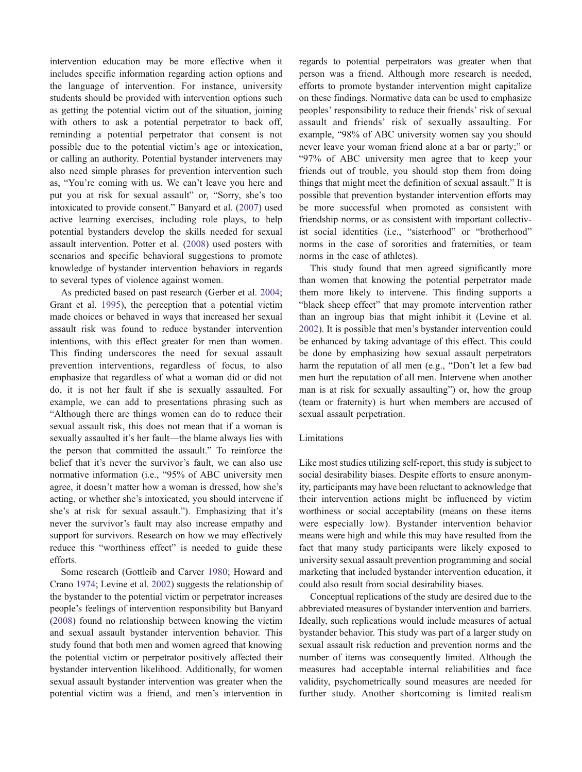intervention education may be more effective when it includes specific information regarding action options and the language of intervention. For instance, university students should be provided with intervention options such as getting the potential victim out of the situation, joining with others to ask a potential perpetrator to back off, reminding a potential perpetrator that consent is not possible due to the potential victim's age or intoxication, or calling an authority. Potential bystander interveners may also need simple phrases for prevention intervention such as, "You're coming with us. We can't leave you here and put you at risk for sexual assault" or, "Sorry, she's too intoxicated to provide consent." Banyard et al. (2007) used active learning exercises, including role plays, to help potential bystanders develop the skills needed for sexual assault intervention. Potter et al. (2008) used posters with scenarios and specific behavioral suggestions to promote knowledge of bystander intervention behaviors in regards to several types of violence against women.

As predicted based on past research (Gerber et al. 2004; Grant et al. 1995), the perception that a potential victim made choices or behaved in ways that increased her sexual assault risk was found to reduce bystander intervention intentions, with this effect greater for men than women. This finding underscores the need for sexual assault prevention interventions, regardless of focus, to also emphasize that regardless of what a woman did or did not do, it is not her fault if she is sexually assaulted. For example, we can add to presentations phrasing such as "Although there are things women can do to reduce their sexual assault risk, this does not mean that if a woman is sexually assaulted it's her fault—the blame always lies with the person that committed the assault." To reinforce the belief that it's never the survivor's fault, we can also use normative information (i.e., "95% of ABC university men agree, it doesn't matter how a woman is dressed, how she's acting, or whether she's intoxicated, you should intervene if she's at risk for sexual assault."). Emphasizing that it's never the survivor's fault may also increase empathy and support for survivors. Research on how we may effectively reduce this "worthiness effect" is needed to guide these efforts.

Some research (Gottleib and Carver 1980; Howard and Crano 1974; Levine et al. 2002) suggests the relationship of the bystander to the potential victim or perpetrator increases people's feelings of intervention responsibility but Banyard (2008) found no relationship between knowing the victim and sexual assault bystander intervention behavior. This study found that both men and women agreed that knowing the potential victim or perpetrator positively affected their bystander intervention likelihood. Additionally, for women sexual assault bystander intervention was greater when the potential victim was a friend, and men's intervention in

regards to potential perpetrators was greater when that person was a friend. Although more research is needed, efforts to promote bystander intervention might capitalize on these findings. Normative data can be used to emphasize peoples' responsibility to reduce their friends' risk of sexual assault and friends' risk of sexually assaulting. For example, "98% of ABC university women say you should never leave your woman friend alone at a bar or party;" or "97% of ABC university men agree that to keep your friends out of trouble, you should stop them from doing things that might meet the definition of sexual assault." It is possible that prevention bystander intervention efforts may be more successful when promoted as consistent with friendship norms, or as consistent with important collectivist social identities (i.e., "sisterhood" or "brotherhood" norms in the case of sororities and fraternities, or team norms in the case of athletes).

This study found that men agreed significantly more than women that knowing the potential perpetrator made them more likely to intervene. This finding supports a "black sheep effect" that may promote intervention rather than an ingroup bias that might inhibit it (Levine et al. 2002). It is possible that men's bystander intervention could be enhanced by taking advantage of this effect. This could be done by emphasizing how sexual assault perpetrators harm the reputation of all men (e.g., "Don't let a few bad men hurt the reputation of all men. Intervene when another man is at risk for sexually assaulting") or, how the group (team or fraternity) is hurt when members are accused of sexual assault perpetration.

#### Limitations

Like most studies utilizing self-report, this study is subject to social desirability biases. Despite efforts to ensure anonymity, participants may have been reluctant to acknowledge that their intervention actions might be influenced by victim worthiness or social acceptability (means on these items were especially low). Bystander intervention behavior means were high and while this may have resulted from the fact that many study participants were likely exposed to university sexual assault prevention programming and social marketing that included bystander intervention education, it could also result from social desirability biases.

Conceptual replications of the study are desired due to the abbreviated measures of bystander intervention and barriers. Ideally, such replications would include measures of actual bystander behavior. This study was part of a larger study on sexual assault risk reduction and prevention norms and the number of items was consequently limited. Although the measures had acceptable internal reliabilities and face validity, psychometrically sound measures are needed for further study. Another shortcoming is limited realism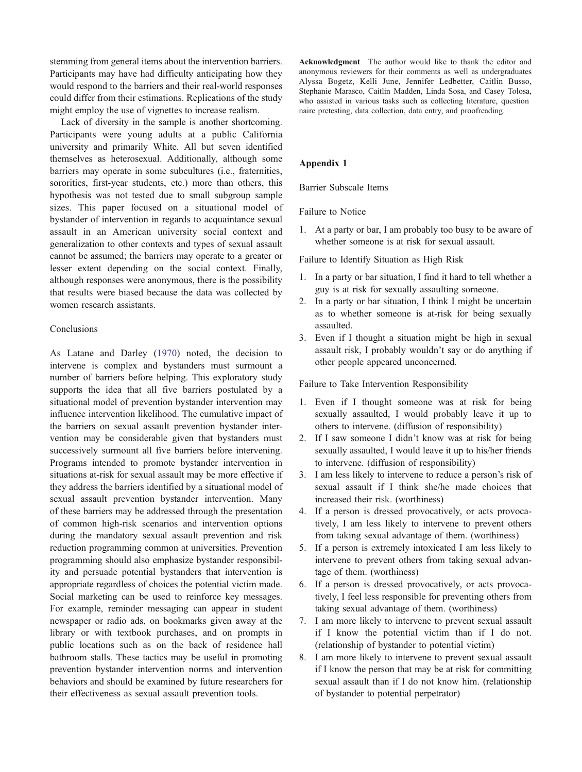stemming from general items about the intervention barriers. Participants may have had difficulty anticipating how they would respond to the barriers and their real-world responses could differ from their estimations. Replications of the study might employ the use of vignettes to increase realism.

Lack of diversity in the sample is another shortcoming. Participants were young adults at a public California university and primarily White. All but seven identified themselves as heterosexual. Additionally, although some barriers may operate in some subcultures (i.e., fraternities, sororities, first-year students, etc.) more than others, this hypothesis was not tested due to small subgroup sample sizes. This paper focused on a situational model of bystander of intervention in regards to acquaintance sexual assault in an American university social context and generalization to other contexts and types of sexual assault cannot be assumed; the barriers may operate to a greater or lesser extent depending on the social context. Finally, although responses were anonymous, there is the possibility that results were biased because the data was collected by women research assistants.

# Conclusions

As Latane and Darley (1970) noted, the decision to intervene is complex and bystanders must surmount a number of barriers before helping. This exploratory study supports the idea that all five barriers postulated by a situational model of prevention bystander intervention may influence intervention likelihood. The cumulative impact of the barriers on sexual assault prevention bystander intervention may be considerable given that bystanders must successively surmount all five barriers before intervening. Programs intended to promote bystander intervention in situations at-risk for sexual assault may be more effective if they address the barriers identified by a situational model of sexual assault prevention bystander intervention. Many of these barriers may be addressed through the presentation of common high-risk scenarios and intervention options during the mandatory sexual assault prevention and risk reduction programming common at universities. Prevention programming should also emphasize bystander responsibility and persuade potential bystanders that intervention is appropriate regardless of choices the potential victim made. Social marketing can be used to reinforce key messages. For example, reminder messaging can appear in student newspaper or radio ads, on bookmarks given away at the library or with textbook purchases, and on prompts in public locations such as on the back of residence hall bathroom stalls. These tactics may be useful in promoting prevention bystander intervention norms and intervention behaviors and should be examined by future researchers for their effectiveness as sexual assault prevention tools.

Acknowledgment The author would like to thank the editor and anonymous reviewers for their comments as well as undergraduates Alyssa Bogetz, Kelli June, Jennifer Ledbetter, Caitlin Busso, Stephanie Marasco, Caitlin Madden, Linda Sosa, and Casey Tolosa, who assisted in various tasks such as collecting literature, question naire pretesting, data collection, data entry, and proofreading.

# Appendix 1

Barrier Subscale Items

# Failure to Notice

1. At a party or bar, I am probably too busy to be aware of whether someone is at risk for sexual assault.

Failure to Identify Situation as High Risk

- 1. In a party or bar situation, I find it hard to tell whether a guy is at risk for sexually assaulting someone.
- 2. In a party or bar situation, I think I might be uncertain as to whether someone is at-risk for being sexually assaulted.
- 3. Even if I thought a situation might be high in sexual assault risk, I probably wouldn't say or do anything if other people appeared unconcerned.

Failure to Take Intervention Responsibility

- 1. Even if I thought someone was at risk for being sexually assaulted, I would probably leave it up to others to intervene. (diffusion of responsibility)
- 2. If I saw someone I didn't know was at risk for being sexually assaulted, I would leave it up to his/her friends to intervene. (diffusion of responsibility)
- 3. I am less likely to intervene to reduce a person's risk of sexual assault if I think she/he made choices that increased their risk. (worthiness)
- 4. If a person is dressed provocatively, or acts provocatively, I am less likely to intervene to prevent others from taking sexual advantage of them. (worthiness)
- 5. If a person is extremely intoxicated I am less likely to intervene to prevent others from taking sexual advantage of them. (worthiness)
- 6. If a person is dressed provocatively, or acts provocatively, I feel less responsible for preventing others from taking sexual advantage of them. (worthiness)
- 7. I am more likely to intervene to prevent sexual assault if I know the potential victim than if I do not. (relationship of bystander to potential victim)
- 8. I am more likely to intervene to prevent sexual assault if I know the person that may be at risk for committing sexual assault than if I do not know him. (relationship of bystander to potential perpetrator)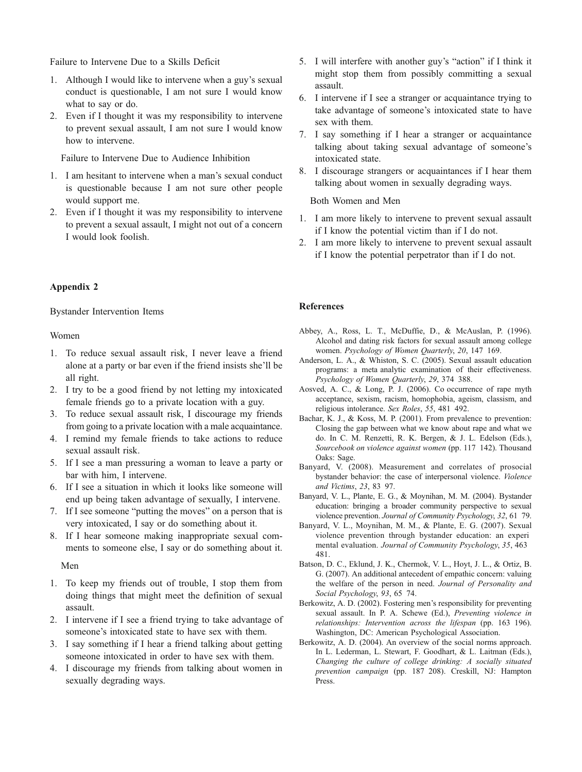Failure to Intervene Due to a Skills Deficit

- 1. Although I would like to intervene when a guy's sexual conduct is questionable, I am not sure I would know what to say or do.
- 2. Even if I thought it was my responsibility to intervene to prevent sexual assault, I am not sure I would know how to intervene.

Failure to Intervene Due to Audience Inhibition

- 1. I am hesitant to intervene when a man's sexual conduct is questionable because I am not sure other people would support me.
- 2. Even if I thought it was my responsibility to intervene to prevent a sexual assault, I might not out of a concern I would look foolish.

# Appendix 2

Bystander Intervention Items

# Women

- 1. To reduce sexual assault risk, I never leave a friend alone at a party or bar even if the friend insists she'll be all right.
- 2. I try to be a good friend by not letting my intoxicated female friends go to a private location with a guy.
- 3. To reduce sexual assault risk, I discourage my friends from going to a private location with a male acquaintance.
- 4. I remind my female friends to take actions to reduce sexual assault risk.
- 5. If I see a man pressuring a woman to leave a party or bar with him, I intervene.
- 6. If I see a situation in which it looks like someone will end up being taken advantage of sexually, I intervene.
- 7. If I see someone "putting the moves" on a person that is very intoxicated, I say or do something about it.
- 8. If I hear someone making inappropriate sexual comments to someone else, I say or do something about it.

Men

- 1. To keep my friends out of trouble, I stop them from doing things that might meet the definition of sexual assault.
- 2. I intervene if I see a friend trying to take advantage of someone's intoxicated state to have sex with them.
- 3. I say something if I hear a friend talking about getting someone intoxicated in order to have sex with them.
- 4. I discourage my friends from talking about women in sexually degrading ways.
- 5. I will interfere with another guy's "action" if I think it might stop them from possibly committing a sexual assault.
- 6. I intervene if I see a stranger or acquaintance trying to take advantage of someone's intoxicated state to have sex with them.
- 7. I say something if I hear a stranger or acquaintance talking about taking sexual advantage of someone's intoxicated state.
- 8. I discourage strangers or acquaintances if I hear them talking about women in sexually degrading ways.

Both Women and Men

- 1. I am more likely to intervene to prevent sexual assault if I know the potential victim than if I do not.
- 2. I am more likely to intervene to prevent sexual assault if I know the potential perpetrator than if I do not.

# References

- Abbey, A., Ross, L. T., McDuffie, D., & McAuslan, P. (1996). Alcohol and dating risk factors for sexual assault among college women. Psychology of Women Quarterly, 20, 147 169.
- Anderson, L. A., & Whiston, S. C. (2005). Sexual assault education programs: a meta analytic examination of their effectiveness. Psychology of Women Quarterly, 29, 374 388.
- Aosved, A. C., & Long, P. J. (2006). Co occurrence of rape myth acceptance, sexism, racism, homophobia, ageism, classism, and religious intolerance. Sex Roles, 55, 481 492.
- Bachar, K. J., & Koss, M. P. (2001). From prevalence to prevention: Closing the gap between what we know about rape and what we do. In C. M. Renzetti, R. K. Bergen, & J. L. Edelson (Eds.), Sourcebook on violence against women (pp. 117 142). Thousand Oaks: Sage.
- Banyard, V. (2008). Measurement and correlates of prosocial bystander behavior: the case of interpersonal violence. Violence and Victims, 23, 83 97.
- Banyard, V. L., Plante, E. G., & Moynihan, M. M. (2004). Bystander education: bringing a broader community perspective to sexual violence prevention. Journal of Community Psychology, 32, 61 79.
- Banyard, V. L., Moynihan, M. M., & Plante, E. G. (2007). Sexual violence prevention through bystander education: an experi mental evaluation. Journal of Community Psychology, 35, 463 481.
- Batson, D. C., Eklund, J. K., Chermok, V. L., Hoyt, J. L., & Ortiz, B. G. (2007). An additional antecedent of empathic concern: valuing the welfare of the person in need. Journal of Personality and Social Psychology, 93, 65 74.
- Berkowitz, A. D. (2002). Fostering men's responsibility for preventing sexual assault. In P. A. Schewe (Ed.), Preventing violence in relationships: Intervention across the lifespan (pp. 163 196). Washington, DC: American Psychological Association.
- Berkowitz, A. D. (2004). An overview of the social norms approach. In L. Lederman, L. Stewart, F. Goodhart, & L. Laitman (Eds.), Changing the culture of college drinking: A socially situated prevention campaign (pp. 187 208). Creskill, NJ: Hampton Press.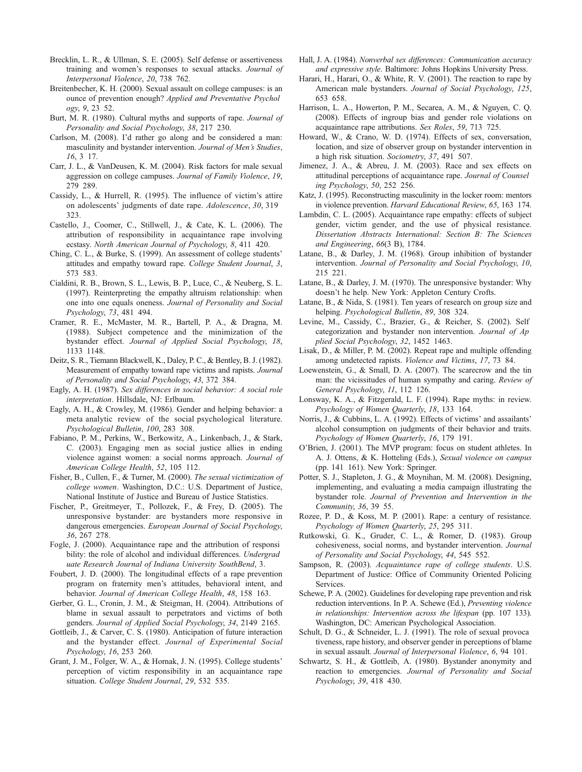- Brecklin, L. R., & Ullman, S. E. (2005). Self defense or assertiveness training and women's responses to sexual attacks. Journal of Interpersonal Violence, 20, 738 762.
- Breitenbecher, K. H. (2000). Sexual assault on college campuses: is an ounce of prevention enough? Applied and Preventative Psychol ogy, 9, 23 52.
- Burt, M. R. (1980). Cultural myths and supports of rape. Journal of Personality and Social Psychology, 38, 217 230.
- Carlson, M. (2008). I'd rather go along and be considered a man: masculinity and bystander intervention. Journal of Men's Studies, 16, 3 17.
- Carr, J. L., & VanDeusen, K. M. (2004). Risk factors for male sexual aggression on college campuses. Journal of Family Violence, 19, 279 289.
- Cassidy, L., & Hurrell, R. (1995). The influence of victim's attire on adolescents' judgments of date rape. Adolescence, 30, 319 323.
- Castello, J., Coomer, C., Stillwell, J., & Cate, K. L. (2006). The attribution of responsibility in acquaintance rape involving ecstasy. North American Journal of Psychology, 8, 411 420.
- Ching, C. L., & Burke, S. (1999). An assessment of college students' attitudes and empathy toward rape. College Student Journal, 3, 573 583.
- Cialdini, R. B., Brown, S. L., Lewis, B. P., Luce, C., & Neuberg, S. L. (1997). Reinterpreting the empathy altruism relationship: when one into one equals oneness. Journal of Personality and Social Psychology, 73, 481 494.
- Cramer, R. E., McMaster, M. R., Bartell, P. A., & Dragna, M. (1988). Subject competence and the minimization of the bystander effect. Journal of Applied Social Psychology, 18, 1133 1148.
- Deitz, S. R., Tiemann Blackwell, K., Daley, P. C., & Bentley, B. J. (1982). Measurement of empathy toward rape victims and rapists. Journal of Personality and Social Psychology, 43, 372 384.
- Eagly, A. H. (1987). Sex differences in social behavior: A social role interpretation. Hillsdale, NJ: Erlbaum.
- Eagly, A. H., & Crowley, M. (1986). Gender and helping behavior: a meta analytic review of the social psychological literature. Psychological Bulletin, 100, 283 308.
- Fabiano, P. M., Perkins, W., Berkowitz, A., Linkenbach, J., & Stark, C. (2003). Engaging men as social justice allies in ending violence against women: a social norms approach. Journal of American College Health, 52, 105 112.
- Fisher, B., Cullen, F., & Turner, M. (2000). The sexual victimization of college women. Washington, D.C.: U.S. Department of Justice, National Institute of Justice and Bureau of Justice Statistics.
- Fischer, P., Greitmeyer, T., Pollozek, F., & Frey, D. (2005). The unresponsive bystander: are bystanders more responsive in dangerous emergencies. European Journal of Social Psychology, 36, 267 278.
- Fogle, J. (2000). Acquaintance rape and the attribution of responsi bility: the role of alcohol and individual differences. Undergrad uate Research Journal of Indiana University SouthBend, 3.
- Foubert, J. D. (2000). The longitudinal effects of a rape prevention program on fraternity men's attitudes, behavioral intent, and behavior. Journal of American College Health, 48, 158 163.
- Gerber, G. L., Cronin, J. M., & Steigman, H. (2004). Attributions of blame in sexual assault to perpetrators and victims of both genders. Journal of Applied Social Psychology, 34, 2149 2165.
- Gottleib, J., & Carver, C. S. (1980). Anticipation of future interaction and the bystander effect. Journal of Experimental Social Psychology, 16, 253 260.
- Grant, J. M., Folger, W. A., & Hornak, J. N. (1995). College students' perception of victim responsibility in an acquaintance rape situation. College Student Journal, 29, 532 535.
- Hall, J. A. (1984). Nonverbal sex differences: Communication accuracy and expressive style. Baltimore: Johns Hopkins University Press.
- Harari, H., Harari, O., & White, R. V. (2001). The reaction to rape by American male bystanders. Journal of Social Psychology, 125, 653 658.
- Harrison, L. A., Howerton, P. M., Secarea, A. M., & Nguyen, C. Q. (2008). Effects of ingroup bias and gender role violations on acquaintance rape attributions. Sex Roles, 59, 713 725.
- Howard, W., & Crano, W. D. (1974). Effects of sex, conversation, location, and size of observer group on bystander intervention in a high risk situation. Sociometry, 37, 491 507.
- Jimenez, J. A., & Abreu, J. M. (2003). Race and sex effects on attitudinal perceptions of acquaintance rape. Journal of Counsel ing Psychology, 50, 252 256.
- Katz, J. (1995). Reconstructing masculinity in the locker room: mentors in violence prevention. Harvard Educational Review, 65, 163 174.
- Lambdin, C. L. (2005). Acquaintance rape empathy: effects of subject gender, victim gender, and the use of physical resistance. Dissertation Abstracts International: Section B: The Sciences and Engineering, 66(3 B), 1784.
- Latane, B., & Darley, J. M. (1968). Group inhibition of bystander intervention. Journal of Personality and Social Psychology, 10, 215 221.
- Latane, B., & Darley, J. M. (1970). The unresponsive bystander: Why doesn't he help. New York: Appleton Century Crofts.
- Latane, B., & Nida, S. (1981). Ten years of research on group size and helping. Psychological Bulletin, 89, 308 324.
- Levine, M., Cassidy, C., Brazier, G., & Reicher, S. (2002). Self categorization and bystander non intervention. Journal of Ap plied Social Psychology, 32, 1452 1463.
- Lisak, D., & Miller, P. M. (2002). Repeat rape and multiple offending among undetected rapists. Violence and Victims, 17, 73 84.
- Loewenstein, G., & Small, D. A. (2007). The scarecrow and the tin man: the vicissitudes of human sympathy and caring. Review of General Psychology, 11, 112 126.
- Lonsway, K. A., & Fitzgerald, L. F. (1994). Rape myths: in review. Psychology of Women Quarterly, 18, 133 164.
- Norris, J., & Cubbins, L. A. (1992). Effects of victims' and assailants' alcohol consumption on judgments of their behavior and traits. Psychology of Women Quarterly, 16, 179 191.
- O'Brien, J. (2001). The MVP program: focus on student athletes. In A. J. Ottens, & K. Hotteling (Eds.), Sexual violence on campus (pp. 141 161). New York: Springer.
- Potter, S. J., Stapleton, J. G., & Moynihan, M. M. (2008). Designing, implementing, and evaluating a media campaign illustrating the bystander role. Journal of Prevention and Intervention in the Community, 36, 39 55.
- Rozee, P. D., & Koss, M. P. (2001). Rape: a century of resistance. Psychology of Women Quarterly, 25, 295 311.
- Rutkowski, G. K., Gruder, C. L., & Romer, D. (1983). Group cohesiveness, social norms, and bystander intervention. Journal of Personality and Social Psychology, 44, 545 552.
- Sampson, R. (2003). Acquaintance rape of college students. U.S. Department of Justice: Office of Community Oriented Policing Services.
- Schewe, P. A. (2002). Guidelines for developing rape prevention and risk reduction interventions. In P. A. Schewe (Ed.), Preventing violence in relationships: Intervention across the lifespan (pp. 107 133). Washington, DC: American Psychological Association.
- Schult, D. G., & Schneider, L. J. (1991). The role of sexual provoca tiveness, rape history, and observer gender in perceptions of blame in sexual assault. Journal of Interpersonal Violence, 6, 94 101.
- Schwartz, S. H., & Gottleib, A. (1980). Bystander anonymity and reaction to emergencies. Journal of Personality and Social Psychology, 39, 418 430.